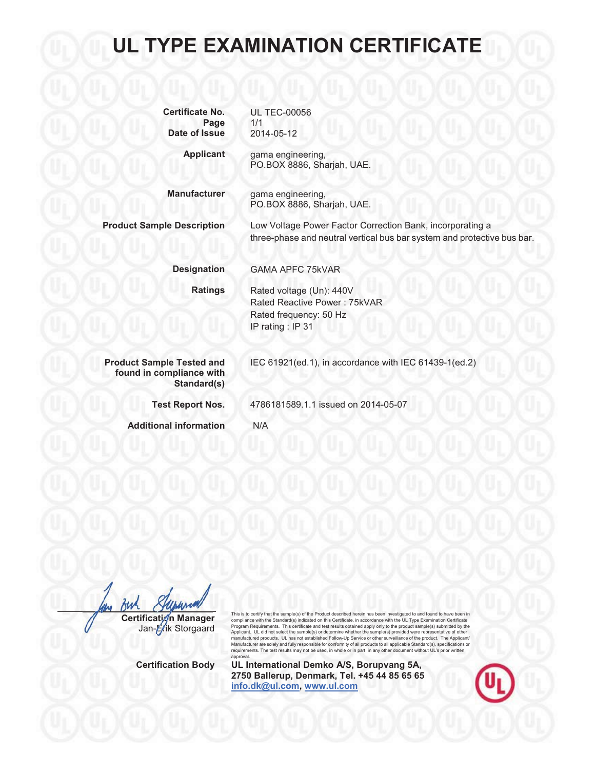| <b>Certificate No.</b> | <b>UL TEC-00056</b> |  |
|------------------------|---------------------|--|
| Page                   | 1/1                 |  |
| Date of Issue          | 2014-05-12          |  |

**Applicant** gama engineering, PO.BOX 8886, Sharjah, UAE.

**Manufacturer** gama engineering, PO.BOX 8886, Sharjah, UAE.

**Product Sample Description** Low Voltage Power Factor Correction Bank, incorporating a three-phase and neutral vertical bus bar system and protective bus bar.

IEC 61921(ed.1), in accordance with IEC 61439-1(ed.2)

**Designation** GAMA APFC 75kVAR

**Ratings** Rated voltage (Un): 440V Rated Reactive Power : 75kVAR Rated frequency: 50 Hz IP rating : IP 31

4786181589.1.1 issued on 2014-05-07

**Product Sample Tested and found in compliance with Standard(s)**

**Test Report Nos.**

**Additional information** N/A

**Certification Manager** 

Jan-Erik Storgaard

This is to certify that the sample(s) of the Product described herein has been investigated to and found to have been in compliance with the Standard(s) indicated on this Certificate, in accordance with the UL Type Examination Certificate<br>Program Requirements. This certificate and test results obtained apply only to the product sample(s) sub manufactured products. UL has not established Follow-Up Service or other surveillance of the product. The Applicant/<br>Manufacturer are solely and fully responsible for conformity of all products to all applicable Standard approval.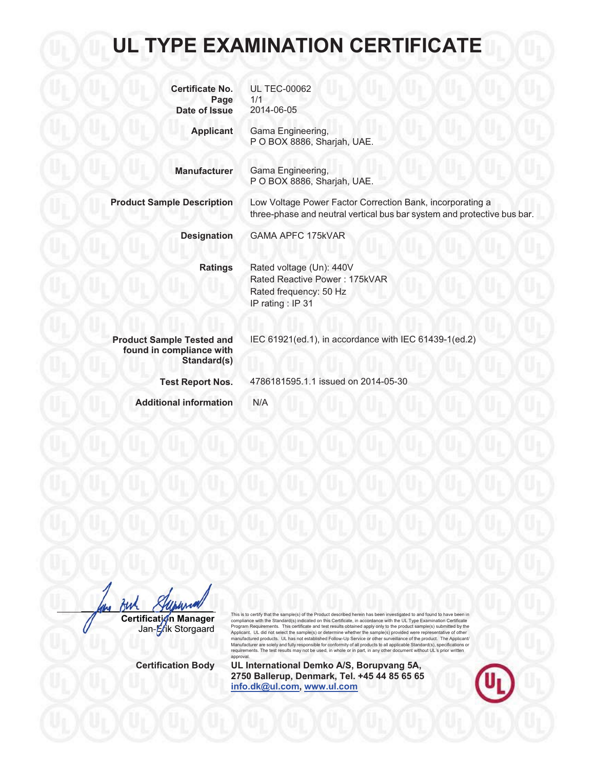| <b>Certificate No.</b><br>Page<br>Date of Issue                             | <b>UL TEC-00062</b><br>1/1<br>2014-06-05                                                                                             |
|-----------------------------------------------------------------------------|--------------------------------------------------------------------------------------------------------------------------------------|
| <b>Applicant</b>                                                            | Gama Engineering,<br>P O BOX 8886, Sharjah, UAE.                                                                                     |
| <b>Manufacturer</b>                                                         | Gama Engineering,<br>P O BOX 8886, Sharjah, UAE.                                                                                     |
| <b>Product Sample Description</b>                                           | Low Voltage Power Factor Correction Bank, incorporating a<br>three-phase and neutral vertical bus bar system and protective bus bar. |
| <b>Designation</b>                                                          | <b>GAMA APFC 175kVAR</b>                                                                                                             |
| <b>Ratings</b>                                                              | Rated voltage (Un): 440V<br>Rated Reactive Power: 175kVAR<br>Rated frequency: 50 Hz<br>IP rating: IP 31                              |
| <b>Product Sample Tested and</b><br>found in compliance with<br>Standard(s) | IEC 61921(ed.1), in accordance with IEC 61439-1(ed.2)                                                                                |
| <b>Test Report Nos.</b>                                                     | 4786181595.1.1 issued on 2014-05-30                                                                                                  |
| <b>Additional information</b>                                               | N/A                                                                                                                                  |

fwh **Certification Manager** Jan-Erik Storgaard Storgaard

This is to certify that the sample(s) of the Product described herein has been investigated to and found to have been in compliance with the Standard(s) indicated on this Certificate, in accordance with the UL Type Examination Certificate<br>Program Requirements. This certificate and test results obtained apply only to the product sample(s) su Applicant. UL did not select the sample(s) or determine whether the sample(s) provided were representative of other<br>manufactured products. UL has not estabilished Follow-Up Service or other surveillance of the product. requirements. The test results may not be used, in whole or in part, in any other document without UL's prior written approval.

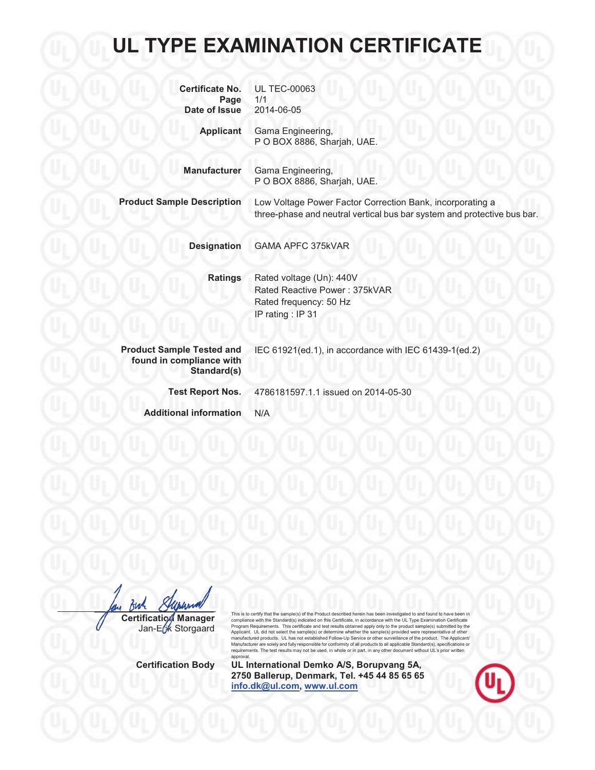| <b>Certificate No.</b><br>Page<br>Date of Issue                             | <b>UL TEC-00063</b><br>1/1<br>2014-06-05                                                                      |
|-----------------------------------------------------------------------------|---------------------------------------------------------------------------------------------------------------|
| <b>Applicant</b><br><b>Manufacturer</b>                                     | Gama Engineering,<br>P O BOX 8886, Sharjah, UAE.                                                              |
| <b>Product Sample Description</b>                                           | Gama Engineering,<br>P O BOX 8886, Sharjah, UAE.<br>Low Voltage Power Factor Correction Bank, incorporating a |
|                                                                             | three-phase and neutral vertical bus bar system and protective bus bar.                                       |
| <b>Designation</b>                                                          | <b>GAMA APFC 375kVAR</b>                                                                                      |
| <b>Ratings</b>                                                              | Rated voltage (Un): 440V<br>Rated Reactive Power: 375kVAR<br>Rated frequency: 50 Hz<br>IP rating: IP 31       |
| <b>Product Sample Tested and</b><br>found in compliance with<br>Standard(s) | IEC 61921(ed.1), in accordance with IEC 61439-1(ed.2)                                                         |
| <b>Test Report Nos.</b>                                                     | 4786181597.1.1 issued on 2014-05-30                                                                           |
| <b>Additional information</b>                                               | N/A                                                                                                           |

fuh **Certification Manager CertificationManager**Jan-Erk Storgaard

This is to certify that the sample(s) of the Product described herein has been investigated to and found to have been in compliance with the Standard(s) indicated on this Certificate, in accordance with the UL Type Examination Certificate<br>Program Requirements. This certificate and test results obtained apply only to the product sample(s) sub manufactured products. UL has not established Follow-Up Service or other surveillance of the product. The Applicant/<br>Manufacturer are solely and fully responsible for conformity of all products to all applicable Standard approval.